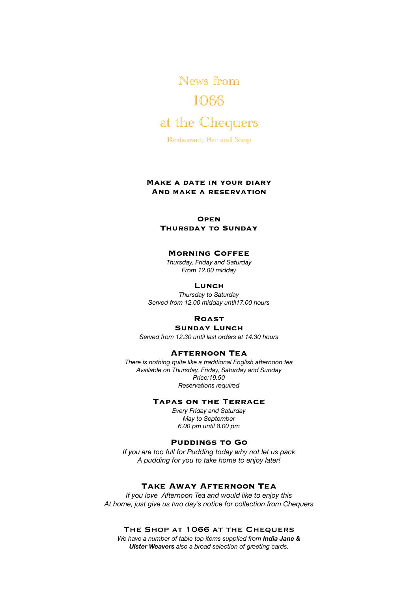News from 1066 at the Chequers

Restaurant; Bar and Shop

#### **Make a date in your diary And make a reservation**

#### **Open**

**Thursday to Sunday**

#### **Morning Coffee**

*Thursday, Friday and Saturday From 12.00 midday* 

#### **Lunch**

*Thursday to Saturday Served from 12.00 midday until17.00 hours* 

#### **Roast**

### **Sunday Lunch**

*Served from 12.30 until last orders at 14.30 hours* 

#### **Afternoon Tea**

*There is nothing quite like a traditional English afternoon tea Available on Thursday, Friday, Saturday and Sunday Price:19.50 Reservations required* 

#### **Tapas on the Terrace**

*Every Friday and Saturday May to September 6.00 pm until 8.00 pm* 

#### **Puddings to Go**

*If you are too full for Pudding today why not let us pack A pudding for you to take home to enjoy later!* 

#### **Take Away Afternoon Tea**

*If you love Afternoon Tea and would like to enjoy this At home, just give us two day's notice for collection from Chequers* 

#### The Shop at 1066 at the Chequers

*We have a number of table top items supplied from India Jane & Ulster Weavers also a broad selection of greeting cards.*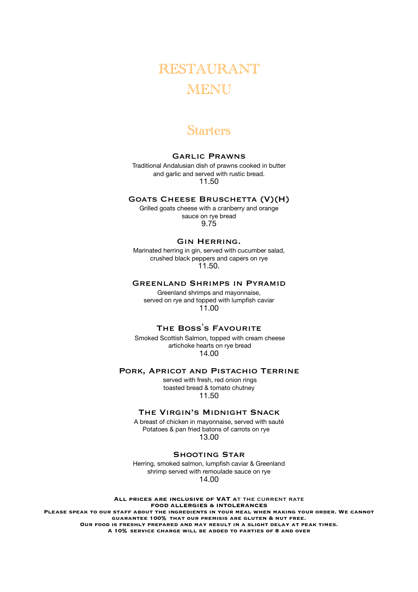# RESTAURANT **MENU**

## Starters

### Garlic Prawns

Traditional Andalusian dish of prawns cooked in butter and garlic and served with rustic bread. 11.50

#### Goats Cheese Bruschetta (V)(H)

Grilled goats cheese with a cranberry and orange sauce on rye bread 9.75

#### Gin Herring.

Marinated herring in gin, served with cucumber salad, crushed black peppers and capers on rye 11.50.

#### Greenland Shrimps in Pyramid

Greenland shrimps and mayonnaise, served on rye and topped with lumpfish caviar 11.00

# THE BOSS'S FAVOURITE<br>Smoked Scottish Salmon, topped with cream cheese

 artichoke hearts on rye bread 14.00

#### Pork, Apricot and Pistachio Terrine

 served with fresh, red onion rings toasted bread & tomato chutney 11.50

### The Virgin's Midnight Snack

A breast of chicken in mayonnaise, served with sauté Potatoes & pan fried batons of carrots on rye 13.00

### Shooting Star

Herring, smoked salmon, lumpfish caviar & Greenland shrimp served with remoulade sauce on rye 14.00

**All prices are inclusive of VAT a**t the current rate **FOOD ALLERGIES & INTOLERANCES Please speak to our staff about the ingredients in your meal when making your order. We cannot guarantee 100% that our premisis are gluten & nut free. Our food is freshly prepared and may result in a slight delay at peak times. A 10% service charge will be added to parties of 8 and over**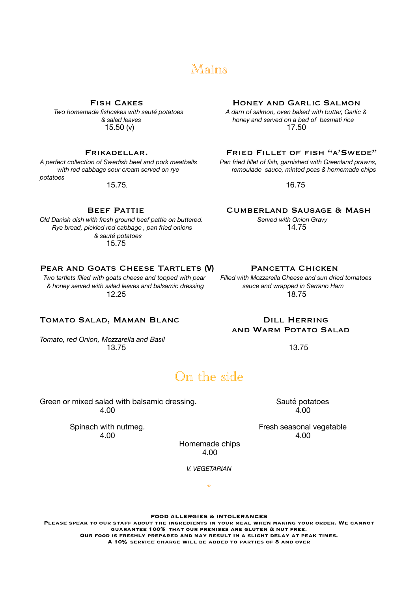## Mains

 $15.50 (v)$ 

*potatoes* 

15.75*.* 16.75

*Old Danish dish with fresh ground beef pattie on buttered. Served with Onion Gravy Rye bread, pickled red cabbage, pan fried onions & sauté potatoes*  15.75

#### Pear and Goats Cheese Tartlets **(V)** Pancetta Chicken

 *Two tartlets filled with goats cheese and topped with pear Filled with Mozzarella Cheese and sun dried tomatoes & honey served with salad leaves and balsamic dressing sauce and wrapped in Serrano Ham*  **12.25** 18.75

#### TOMATO SALAD, MAMAN BLANC **DILL HERRING**

*Tomato, red Onion, Mozzarella and Basil*  **13.75 13.75** 

# FISH CAKES<br>Two homemade fishcakes with sauté potatoes A darn of salmon, oven baked with butter, Garlic

 *Two homemade fishcakes with sauté potatoes A darn of salmon, oven baked with butter, Garlic & & salad leaves honey and served on a bed of basmati rice* 

FRIKADELLAR. FRIED FILLET OF FISH "A'SWEDE"

*A perfect collection of Swedish beef and pork meatballs Pan fried fillet of fish, garnished with Greenland prawns,*  with red cabbage sour cream served on rye remoulade sauce, minted peas & homemade chips

BEEF PATTIE<br>with fresh ground beef pattie on buttered.<br>Served with Onion Gravy

# and Warm Potato Salad

## On the side

Green or mixed salad with balsamic dressing. Sauté potatoes 4.00 4.00

4.00 4.00

Spinach with nutmeg. The state of the seasonal vegetable spinach with nutmeg.

 Homemade chips 4.00

*V. VEGETARIAN* 

"

#### **FOOD ALLERGIES & INTOLERANCES**

**Please speak to our staff about the ingredients in your meal when making your order. We cannot guarantee 100% that our premises are gluten & nut free. Our food is freshly prepared and may result in a slight delay at peak times. A 10% service charge will be added to parties of 8 and over**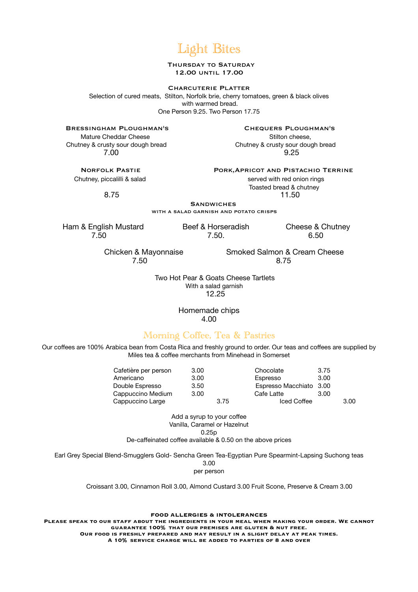## Light Bites

#### THURSDAY TO SATURDAY 12.00 until 17.00

#### Charcuterie Platter

Selection of cured meats, Stilton, Norfolk brie, cherry tomatoes, green & black olives with warmed bread. One Person 9.25. Two Person 17.75

Bressingham Ploughman's Chequers Ploughman's

Mature Cheddar Cheese Stilton cheese, Stilton cheese, Stilton cheese, Stilton cheese, Stilton cheese, Stilton cheese, Stilton cheese, Stilton cheese, Stilton cheese, Stilton cheese, Stilton cheese, Stilton cheese, Stilton

 Chutney & crusty sour dough bread Chutney & crusty sour dough bread 7.00 9.25

**Chutney, piccalilli & salad served with red onion rings** 

Norfolk Pastie Pork,Apricot and Pistachio Terrine

 Toasted bread & chutney 8.75 11.50

**SANDWICHES**<br>WITH A SALAD GARNISH AND POTATO CRISPS

 Ham & English Mustard Beef & Horseradish Cheese & Chutney 7.50 7.50. 6.50

7.50 8.75

Chicken & Mayonnaise Smoked Salmon & Cream Cheese

 Two Hot Pear & Goats Cheese Tartlets With a salad garnish 12.25

> Homemade chips 4.00

### Morning Coffee, Tea & Pastries

Our coffees are 100% Arabica bean from Costa Rica and freshly ground to order. Our teas and coffees are supplied by Miles tea & coffee merchants from Minehead in Somerset

| Cafetière per person | 3.00 | Chocolate               | 3.75 |      |
|----------------------|------|-------------------------|------|------|
| Americano            | 3.00 | Espresso                | 3.00 |      |
| Double Espresso      | 3.50 | Espresso Macchiato 3.00 |      |      |
| Cappuccino Medium    | 3.00 | Cafe Latte              | 3.00 |      |
| Cappuccino Large     | 3.75 | Iced Coffee             |      | 3.00 |

Add a syrup to your coffee Vanilla, Caramel or Hazelnut 0.25p De-caffeinated coffee available & 0.50 on the above prices

Earl Grey Special Blend-Smugglers Gold- Sencha Green Tea-Egyptian Pure Spearmint-Lapsing Suchong teas

3.00

per person

Croissant 3.00, Cinnamon Roll 3.00, Almond Custard 3.00 Fruit Scone, Preserve & Cream 3.00

#### **FOOD ALLERGIES & INTOLERANCES**

**Please speak to our staff about the ingredients in your meal when making your order. We cannot guarantee 100% that our premises are gluten & nut free. Our food is freshly prepared and may result in a slight delay at peak times. A 10% service charge will be added to parties of 8 and over**